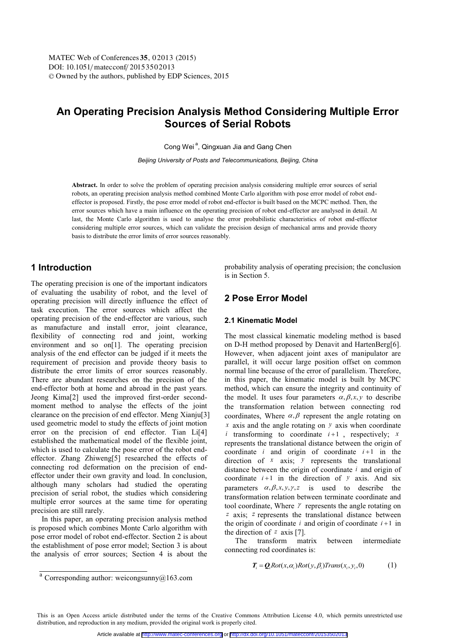# **An Operating Precision Analysis Method Considering Multiple Error Sources of Serial Robots**

Cong Wei<sup>a</sup>, Qingxuan Jia and Gang Chen

*Beijing University of Posts and Telecommunications, Beijing, China* 

**Abstract.** In order to solve the problem of operating precision analysis considering multiple error sources of serial robots, an operating precision analysis method combined Monte Carlo algorithm with pose error model of robot endeffector is proposed. Firstly, the pose error model of robot end-effector is built based on the MCPC method. Then, the error sources which have a main influence on the operating precision of robot end-effector are analysed in detail. At last, the Monte Carlo algorithm is used to analyse the error probabilistic characteristics of robot end-effector considering multiple error sources, which can validate the precision design of mechanical arms and provide theory basis to distribute the error limits of error sources reasonably.

### **1 Introduction**

The operating precision is one of the important indicators of evaluating the usability of robot, and the level of operating precision will directly influence the effect of task execution. The error sources which affect the operating precision of the end-effector are various, such as manufacture and install error, joint clearance, flexibility of connecting rod and joint, working environment and so on<sup>[1]</sup>. The operating precision analysis of the end effector can be judged if it meets the requirement of precision and provide theory basis to distribute the error limits of error sources reasonably. There are abundant researches on the precision of the end-effector both at home and abroad in the past years. Jeong Kima[2] used the improved first-order secondmoment method to analyse the effects of the joint clearance on the precision of end effector. Meng Xianju[3] used geometric model to study the effects of joint motion error on the precision of end effector. Tian Li[4] established the mathematical model of the flexible joint, which is used to calculate the pose error of the robot endeffector. Zhang Zhiweng[5] researched the effects of connecting rod deformation on the precision of endeffector under their own gravity and load. In conclusion, although many scholars had studied the operating precision of serial robot, the studies which considering multiple error sources at the same time for operating precision are still rarely.

In this paper, an operating precision analysis method is proposed which combines Monte Carlo algorithm with pose error model of robot end-effector. Section 2 is about the establishment of pose error model; Section 3 is about the analysis of error sources; Section 4 is about the probability analysis of operating precision; the conclusion is in Section 5.

### **2 Pose Error Model**

### **2.1 Kinematic Model**

The most classical kinematic modeling method is based on D-H method proposed by Denavit and HartenBerg[6]. However, when adjacent joint axes of manipulator are parallel, it will occur large position offset on common normal line because of the error of parallelism. Therefore, in this paper, the kinematic model is built by MCPC method, which can ensure the integrity and continuity of the model. It uses four parameters  $\alpha, \beta, x, y$  to describe the transformation relation between connecting rod coordinates, Where  $\alpha$ ,  $\beta$  represent the angle rotating on *x* axis and the angle rotating on *y* axis when coordinate *i* transforming to coordinate  $i+1$ , respectively; *x* represents the translational distance between the origin of coordinate  $i$  and origin of coordinate  $i+1$  in the direction of *x* axis; *y* represents the translational distance between the origin of coordinate *i* and origin of coordinate  $i+1$  in the direction of  $y$  axis. And six parameters  $\alpha, \beta, x, y, \gamma, z$  is used to describe the transformation relation between terminate coordinate and tool coordinate, Where  $\gamma$  represents the angle rotating on *z* axis; *z* represents the translational distance between the origin of coordinate  $i$  and origin of coordinate  $i+1$  in the direction of *z* axis [7].

The transform matrix between intermediate connecting rod coordinates is:

$$
T_i = Q_i Rot(x, \alpha_i)Rot(y, \beta_i)Trans(x_i, y_i, 0)
$$
 (1)

This is an Open Access article distributed under the terms of the Creative Commons Attribution License 4.0, which permits unrestricted use distribution, and reproduction in any medium, provided the original work is properly cited.

 $\frac{a}{a}$  Corresponding author: weicongsunny@163.com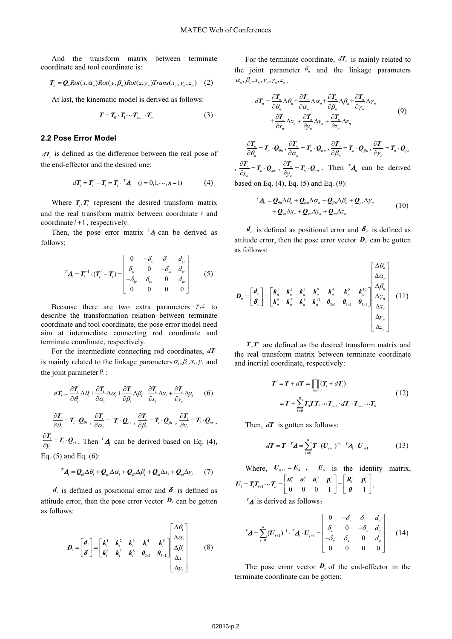And the transform matrix between terminate coordinate and tool coordinate is:

$$
T_n = Q_n Rot(x, \alpha_n)Rot(y, \beta_n)Rot(z, \gamma_n)Trans(x_n, y_n, z_n)
$$
 (2)

At last, the kinematic model is derived as follows:

$$
T = T_0 \cdot T_1 \cdots T_{n-1} \cdot T_n \tag{3}
$$

#### **2.2 Pose Error Model**

 $dT_i$  is defined as the difference between the real pose of the end-effector and the desired one:

$$
d\boldsymbol{T}_i = \boldsymbol{T}_i' - \boldsymbol{T}_i = \boldsymbol{T}_i \cdot \boldsymbol{A} \quad (i = 0, 1, \cdots, n-1)
$$
 (4)

Where  $T_i, T'_i$  represent the desired transform matrix and the real transform matrix between coordinate *i* and coordinate  $i+1$ , respectively.

Then, the pose error matrix  $^{T}$  $\boldsymbol{\Delta}$  can be derived as follows:

$$
{}^{T}\mathbf{A}_{i} = \mathbf{T}_{i}^{-1} \cdot (\mathbf{T}_{i}^{\prime} - \mathbf{T}_{i}) = \begin{bmatrix} 0 & -\delta_{iz} & \delta_{iy} & d_{ix} \\ \delta_{iz} & 0 & -\delta_{ix} & d_{iy} \\ -\delta_{iy} & \delta_{ix} & 0 & d_{iz} \\ 0 & 0 & 0 & 0 \end{bmatrix}
$$
(5)

Because there are two extra parameters  $\gamma$ , z to describe the transformation relation between terminate coordinate and tool coordinate, the pose error model need aim at intermediate connecting rod coordinate and terminate coordinate, respectively.

For the intermediate connecting rod coordinates,  $dT_i$ is mainly related to the linkage parameters  $\alpha_i, \beta_i, x_i, y_i$  and the joint parameter  $\theta_i$ :

$$
d\boldsymbol{T}_{i} = \frac{\partial \boldsymbol{T}_{i}}{\partial \theta_{i}} \Delta \theta_{i} + \frac{\partial \boldsymbol{T}_{i}}{\partial \alpha_{i}} \Delta \alpha_{i} + \frac{\partial \boldsymbol{T}}{\partial \beta_{i}} \Delta \beta_{i} + \frac{\partial \boldsymbol{T}_{i}}{\partial x_{i}} \Delta x_{i} + \frac{\partial \boldsymbol{T}_{i}}{\partial y_{i}} \Delta y_{i} \qquad (6)
$$

$$
\frac{\partial \boldsymbol{T}_i}{\partial \theta_i} = \boldsymbol{T}_i \cdot \boldsymbol{Q}_{\theta i} , \frac{\partial \boldsymbol{T}_i}{\partial \alpha_i} = \boldsymbol{T}_i \cdot \boldsymbol{Q}_{\alpha i} , \frac{\partial \boldsymbol{T}_i}{\partial \beta_i} = \boldsymbol{T}_i \cdot \boldsymbol{Q}_{\beta i} , \frac{\partial \boldsymbol{T}_i}{\partial x_i} = \boldsymbol{T}_i \cdot \boldsymbol{Q}_{\alpha i} ,
$$

 $\frac{\partial T_i}{\partial y_i} = T_i \cdot Q_{yi}$ , Then  $^T \Delta_i$  can be derived based on Eq. (4), Eq. (5) and Eq. (6):

$$
{}^{T}\mathbf{\Delta} = \mathbf{0} \triangle \theta + \mathbf{0} \triangle \alpha + \mathbf{0}
$$

$$
{}^{T}\mathbf{\Delta}_{i}=\mathbf{Q}_{\theta i}\Delta\theta_{i}+\mathbf{Q}_{\alpha i}\Delta\alpha_{i}+\mathbf{Q}_{\beta i}\Delta\beta_{i}+\mathbf{Q}_{xi}\Delta x_{i}+\mathbf{Q}_{yi}\Delta y_{i}
$$
 (7)

 $d_i$  is defined as positional error and  $\delta_i$  is defined as attitude error, then the pose error vector  $\boldsymbol{D}_i$  can be gotten as follows:

$$
\boldsymbol{D}_{i} = \begin{bmatrix} \boldsymbol{d}_{i} \\ \boldsymbol{\delta}_{i} \end{bmatrix} = \begin{bmatrix} \boldsymbol{k}_{i}^{1} & \boldsymbol{k}_{i}^{2} & \boldsymbol{k}_{i}^{3} & \boldsymbol{k}_{i}^{4} & \boldsymbol{k}_{i}^{5} \\ \boldsymbol{k}_{i}^{6} & \boldsymbol{k}_{i}^{7} & \boldsymbol{k}_{i}^{8} & \boldsymbol{\theta}_{3\times1} & \boldsymbol{\theta}_{3\times1} \end{bmatrix} \begin{bmatrix} \Delta\theta_{i} \\ \Delta\alpha_{i} \\ \Delta\beta_{i} \\ \Delta\gamma_{i} \\ \Delta\gamma_{i} \end{bmatrix}
$$
 (8)

For the terminate coordinate,  $dT_n$  is mainly related to the joint parameter  $\theta_n$  and the linkage parameters  $\alpha_n, \beta_n, x_n, y_n, \gamma_n, z_n$ .

$$
d\mathbf{T}_n = \frac{\partial \mathbf{T}_n}{\partial \theta_n} \Delta \theta_n + \frac{\partial \mathbf{T}_n}{\partial \alpha_n} \Delta \alpha_n + \frac{\partial \mathbf{T}_n}{\partial \beta_n} \Delta \beta_n + \frac{\partial \mathbf{T}_n}{\partial \gamma_n} \Delta \gamma_n
$$
  
+ 
$$
\frac{\partial \mathbf{T}_n}{\partial x_n} \Delta x_n + \frac{\partial \mathbf{T}_n}{\partial y_n} \Delta y_n + \frac{\partial \mathbf{T}_n}{\partial z_n} \Delta z_n
$$
 (9)

 $\frac{\partial T_n}{\partial \theta_n} = T_n \cdot \mathcal{Q}_{\theta n}, \frac{\partial T_n}{\partial \alpha_n} = T_n \cdot \mathcal{Q}_{\alpha n}, \frac{\partial T_n}{\partial \beta_n} = T_n \cdot \mathcal{Q}_{\beta n}, \frac{\partial T_n}{\partial \gamma_n} = T_n \cdot \mathcal{Q}_{\gamma n}$  $\frac{\partial T_n}{\partial x_n} = T_n \cdot Q_{xn}$ ,  $\frac{\partial T_n}{\partial y_n} = T_n \cdot Q_{yn}$ , Then  ${}^T A_n$  can be derived based on Eq. (4), Eq. (5) and Eq. (9):

$$
{}^{T}\mathbf{\Delta}_{n} = \mathbf{Q}_{\theta n} \Delta \theta_{n} + \mathbf{Q}_{\alpha n} \Delta \alpha_{n} + \mathbf{Q}_{\beta n} \Delta \beta_{n} + \mathbf{Q}_{\gamma n} \Delta \gamma_{n}
$$
  
+ 
$$
\mathbf{Q}_{\alpha n} \Delta x_{n} + \mathbf{Q}_{\gamma n} \Delta y_{n} + \mathbf{Q}_{\alpha n} \Delta z_{n}
$$
 (10)

 $d_n$  is defined as positional error and  $\delta_n$  is defined as attitude error, then the pose error vector  $D_n$  can be gotten as follows:

$$
D_n = \begin{bmatrix} d_n \\ \delta_n \end{bmatrix} = \begin{bmatrix} k_n^1 & k_n^2 & k_n^3 & k_n^2 & k_n^4 & k_n^5 & k_n^{10} \\ k_n^6 & k_n^7 & k_n^8 & k_n^{11} & 0_{3\times1} & 0_{3\times1} & 0_{3\times1} \end{bmatrix} \begin{bmatrix} \Delta \theta_n \\ \Delta \alpha_n \\ \Delta \gamma_n \\ \Delta \gamma_n \\ \Delta \gamma_n \\ \Delta \gamma_n \\ \Delta \gamma_n \\ \Delta \gamma_n \end{bmatrix} \quad (11)
$$

 $T, T'$  are defined as the desired transform matrix and the real transform matrix between terminate coordinate and inertial coordinate, respectively:

$$
T' = T + dT = \prod_{i=0}^{n} (T_i + dT_i)
$$
  
=  $T + \sum_{i=0}^{n} T_0 T_i T_2 \cdots T_{i-1} \cdot dT_i \cdot T_{i+1} \cdots T_n$  (12)

Then, *dT* is gotten as follows:

$$
d\boldsymbol{T} = \boldsymbol{T} \cdot {}^T \boldsymbol{\Delta} = \sum_{i=0}^n \boldsymbol{T} \cdot (\boldsymbol{U}_{i+1})^{-1} \cdot {}^T \boldsymbol{\Delta} \cdot \boldsymbol{U}_{i+1}
$$
(13)

Where,  $U_{n+1} = E_4$ ,  $E_4$  is the identity matrix,  $\begin{bmatrix} 1 & -\lambda_n \\ 0 & 0 \\ 0 & 0 \end{bmatrix} = \begin{bmatrix} 0 & 1 \\ 0 & 1 \\ 0 & 0 \end{bmatrix}$  $\mathcal{L}_i = T_i T_{i+1} \cdots T_n = \begin{vmatrix} n_i^u & o_i^u & a_i^u & p_i^u \ 0 & 0 & 0 & 1 \end{vmatrix} = \begin{vmatrix} R_i^u & p_i^u \end{vmatrix}$  $U_i = T_i T_{i+1} \cdots T_n = \begin{bmatrix} n_i^u & n_i^u & n_i^u \\ 0 & 0 & 0 & 1 \end{bmatrix} = \begin{bmatrix} R_i^u & P_i^u \\ 0 & 1 \end{bmatrix}.$ 

 $^{T}\Delta$  is derived as follows:

$$
{}^{T}\mathbf{\Delta} = \sum_{i=0}^{n} (\mathbf{U}_{i+1})^{-1} \cdot {}^{T}\mathbf{\Delta}_{i} \cdot \mathbf{U}_{i+1} = \begin{bmatrix} 0 & -\delta_{z} & \delta_{y} & d_{x} \\ \delta_{z} & 0 & -\delta_{x} & d_{y} \\ -\delta_{y} & \delta_{x} & 0 & d_{z} \\ 0 & 0 & 0 & 0 \end{bmatrix}
$$
 (14)

The pose error vector  $D_e$  of the end-effector in the terminate coordinate can be gotten: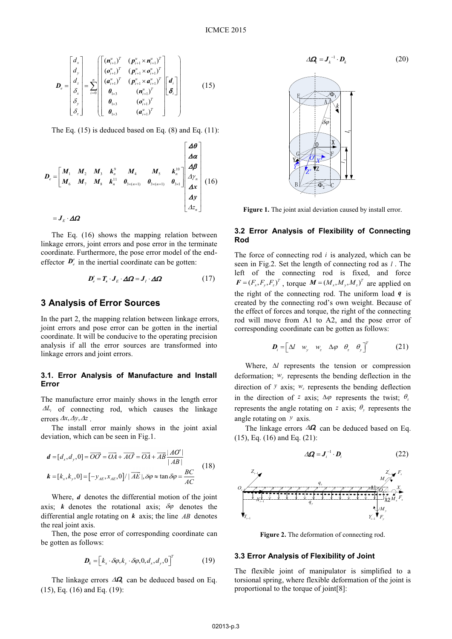$$
\boldsymbol{D}_{e} = \begin{bmatrix} d_{x} \\ d_{y} \\ d_{z} \\ \delta_{x} \\ \delta_{y} \\ \delta_{z} \end{bmatrix} = \sum_{i=0}^{n} \begin{bmatrix} (\boldsymbol{n}_{i+1}^{u})^{T} & (\boldsymbol{p}_{i+1}^{u} \times \boldsymbol{n}_{i+1}^{u})^{T} \\ (\boldsymbol{o}_{i+1}^{u})^{T} & (\boldsymbol{p}_{i+1}^{u} \times \boldsymbol{o}_{i+1}^{u})^{T} \\ (\boldsymbol{a}_{i+1}^{u})^{T} & (\boldsymbol{p}_{i+1}^{u} \times \boldsymbol{a}_{i+1}^{u})^{T} \\ \boldsymbol{\theta}_{1 \times 3} & (\boldsymbol{n}_{i+1}^{u})^{T} \\ \boldsymbol{\theta}_{1 \times 3} & (\boldsymbol{o}_{i+1}^{u})^{T} \\ \boldsymbol{\theta}_{1 \times 3} & (\boldsymbol{a}_{i+1}^{u})^{T} \end{bmatrix} \begin{bmatrix} d_{i} \\ \delta_{i} \end{bmatrix}
$$
(15)

The Eq.  $(15)$  is deduced based on Eq.  $(8)$  and Eq.  $(11)$ :

$$
D_e = \begin{bmatrix} M_1 & M_2 & M_3 & k_n^9 & M_4 & M_5 & k_n^{10} & 40 \\ M_6 & M_7 & M_8 & k_n^{11} & 0_{3 \times (n+1)} & 0_{3 \times (n+1)} & 0_{3 \times 1} \end{bmatrix} \begin{bmatrix} \Delta \theta \\ \Delta \alpha \\ \Delta \beta \\ \Delta \gamma \\ \Delta x \\ \Delta y \\ \Delta z_n \end{bmatrix} (16)
$$

$$
= J_E \cdot \Delta \Omega
$$

The Eq. (16) shows the mapping relation between linkage errors, joint errors and pose error in the terminate coordinate. Furthermore, the pose error model of the endeffector  $\mathbf{D}'_e$  in the inertial coordinate can be gotten:

$$
\boldsymbol{D}'_e = \boldsymbol{T}_s \cdot \boldsymbol{J}_E \cdot \boldsymbol{\Delta}\boldsymbol{\Omega} = \boldsymbol{J}_I \cdot \boldsymbol{\Delta}\boldsymbol{\Omega}
$$
 (17)

### **3 Analysis of Error Sources**

In the part 2, the mapping relation between linkage errors, joint errors and pose error can be gotten in the inertial coordinate. It will be conducive to the operating precision analysis if all the error sources are transformed into linkage errors and joint errors.

### **3.1. Error Analysis of Manufacture and Install Error**

The manufacture error mainly shows in the length error  $\Delta L_i$  of connecting rod, which causes the linkage errors  $\Delta x, \Delta y, \Delta z$ .

The install error mainly shows in the joint axial deviation, which can be seen in Fig.1.

$$
\mathbf{d} = [d_x, d_y, 0] = \overrightarrow{OO'} = \overrightarrow{OA} + \overrightarrow{AO'} = \overrightarrow{OA} + \overrightarrow{AB} \frac{|AO'|}{|AB|}
$$
  

$$
\mathbf{k} = [k_x, k_y, 0] = [-y_{AE}, x_{AE}, 0] / |\overrightarrow{AE}|, \delta\varphi \approx \tan \delta\varphi = \frac{BC}{AC}
$$
(18)

Where, *d* denotes the differential motion of the joint axis; *k* denotes the rotational axis;  $\delta\varphi$  denotes the differential angle rotating on *k* axis; the line *AB* denotes the real joint axis.

Then, the pose error of corresponding coordinate can be gotten as follows:

$$
\boldsymbol{D}_{k} = \left[k_{x} \cdot \delta\varphi, k_{y} \cdot \delta\varphi, 0, d_{x}, d_{y}, 0\right]^{T}
$$
 (19)

The linkage errors  $\Delta Q_k$  can be deduced based on Eq. (15), Eq. (16) and Eq. (19):



Figure 1. The joint axial deviation caused by install error.

#### **3.2 Error Analysis of Flexibility of Connecting Rod**

The force of connecting rod *i* is analyzed, which can be seen in Fig.2. Set the length of connecting rod as *l* . The left of the connecting rod is fixed, and force  $\boldsymbol{F} = (F_x, F_y, F_z)^T$ , torque  $\boldsymbol{M} = (M_x, M_y, M_z)^T$  are applied on the right of the connecting rod. The uniform load *q* is created by the connecting rod's own weight. Because of the effect of forces and torque, the right of the connecting rod will move from A1 to A2, and the pose error of corresponding coordinate can be gotten as follows:

$$
\boldsymbol{D}_{i} = \begin{bmatrix} \Delta l & w_{y} & w_{z} & \Delta \varphi & \theta_{z} & \theta_{y} \end{bmatrix}^{T}
$$
 (21)

Where,  $\Delta l$  represents the tension or compression deformation; *wy* represents the bending deflection in the direction of *y* axis;  $w_z$  represents the bending deflection in the direction of *z* axis;  $\Delta \varphi$  represents the twist;  $\theta$ <sub>*z*</sub> represents the angle rotating on *z* axis;  $\theta$ <sub>*y*</sub> represents the angle rotating on *y* axis.

The linkage errors  $\Delta \mathbf{Q}$  can be deduced based on Eq. (15), Eq. (16) and Eq. (21):

$$
\Delta \mathbf{Q} = \mathbf{J}_i^{-1} \cdot \mathbf{D}_i \tag{22}
$$



**Figure 2.** The deformation of connecting rod.

#### **3.3 Error Analysis of Flexibility of Joint**

The flexible joint of manipulator is simplified to a torsional spring, where flexible deformation of the joint is proportional to the torque of joint[8]: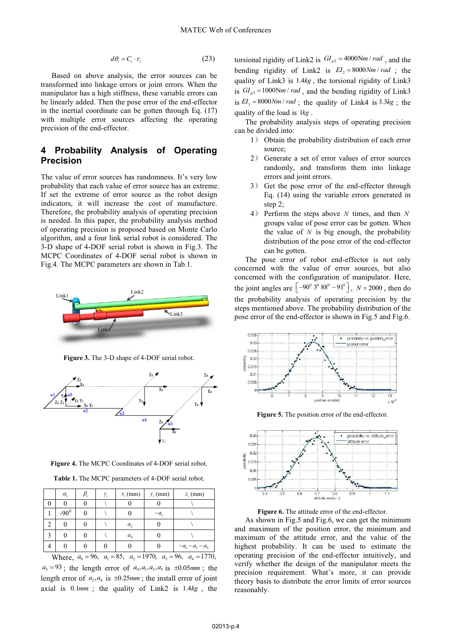$$
d\theta_i = C_i \cdot \tau_i \tag{23}
$$

Based on above analysis, the error sources can be transformed into linkage errors or joint errors. When the manipulator has a high stiffness, these variable errors can be linearly added. Then the pose error of the end-effector in the inertial coordinate can be gotten through Eq. (17) with multiple error sources affecting the operating precision of the end-effector.

### **4 Probability Analysis of Operating Precision**

The value of error sources has randomness. It's very low probability that each value of error source has an extreme. If set the extreme of error source as the robot design indicators, it will increase the cost of manufacture. Therefore, the probability analysis of operating precision is needed. In this paper, the probability analysis method of operating precision is proposed based on Monte Carlo algorithm, and a four link serial robot is considered. The 3-D shape of 4-DOF serial robot is shown in Fig.3. The MCPC Coordinates of 4-DOF serial robot is shown in Fig.4. The MCPC parameters are shown in Tab.1.



**Figure 3.** The 3-D shape of 4-DOF serial robot.



**Figure 4.** The MCPC Coordinates of 4-DOF serial robot.

|                                                                             | $\alpha_{i}$ |  | $\gamma_i$ | $x_i$ (mm)     | $y_i$ (mm) | $z_i$ (mm)         |
|-----------------------------------------------------------------------------|--------------|--|------------|----------------|------------|--------------------|
|                                                                             |              |  |            |                |            |                    |
|                                                                             | $-90^{0}$    |  |            |                | -a         |                    |
| 2                                                                           |              |  |            | a <sub>2</sub> |            |                    |
|                                                                             |              |  |            | a <sub>4</sub> |            |                    |
|                                                                             |              |  |            |                |            | $-a_1 - a_3 - a_5$ |
| Where, $a_0 = 96$ , $a_1 = 85$ , $a_2 = 1970$ , $a_3 = 96$ , $a_4 = 1770$ , |              |  |            |                |            |                    |

 $a_5 = 93$ ; the length error of  $a_0$ ,  $a_1$ ,  $a_3$ ,  $a_5$  is  $\pm 0.05$ *mm*; the length error of  $a_2$ ,  $a_4$  is  $\pm 0.25$ *mm*; the install error of joint axial is 0.1*mm* ; the quality of Link2 is 1.4*kg* , the torsional rigidity of Link2 is  $GI_{p2} = 4000 \text{Nm} / rad$ , and the bending rigidity of Link2 is  $EI_2 = 8000 Nm / rad$ ; the quality of Link3 is 1.4*kg* , the torsional rigidity of Link3 is  $GI_{p3} = 1000$ N*m / rad*, and the bending rigidity of Link3 is  $EI_3 = 8000 Nm / rad$ ; the quality of Link4 is 3.3*kg*; the quality of the load is 1*kg* .

The probability analysis steps of operating precision can be divided into:

- 1) Obtain the probability distribution of each error source;
- 2) Generate a set of error values of error sources randomly, and transform them into linkage errors and joint errors.
- 3) Get the pose error of the end-effector through Eq. (14) using the variable errors generated in step 2;
- 4˅ Perform the steps above *N* times, and then *N* groups value of pose error can be gotten. When the value of  $N$  is big enough, the probability distribution of the pose error of the end-effector can be gotten.

The pose error of robot end-effector is not only concerned with the value of error sources, but also concerned with the configuration of manipulator. Here, the joint angles are  $\left[ -90^{\circ} 3^{\circ} 88^{\circ} - 91^{\circ} \right]$ ,  $N = 2000$ , then do the probability analysis of operating precision by the steps mentioned above. The probability distribution of the pose error of the end-effector is shown in Fig.5 and Fig.6.



**Figure 5.** The position error of the end-effector.



**Figure 6.** The attitude error of the end-effector.

As shown in Fig.5 and Fig.6, we can get the minimum and maximum of the position error, the minimum and maximum of the attitude error, and the value of the highest probability. It can be used to estimate the operating precision of the end-effector intuitively, and verify whether the design of the manipulator meets the precision requirement. What's more, it can provide theory basis to distribute the error limits of error sources reasonably.